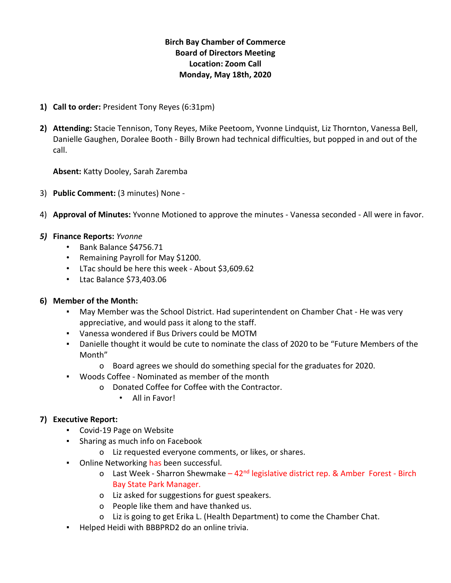# **Birch Bay Chamber of Commerce Board of Directors Meeting Location: Zoom Call Monday, May 18th, 2020**

- **1) Call to order:** President Tony Reyes (6:31pm)
- **2) Attending:** Stacie Tennison, Tony Reyes, Mike Peetoom, Yvonne Lindquist, Liz Thornton, Vanessa Bell, Danielle Gaughen, Doralee Booth - Billy Brown had technical difficulties, but popped in and out of the call.

**Absent:** Katty Dooley, Sarah Zaremba

- 3) **Public Comment:** (3 minutes) None -
- 4) **Approval of Minutes:** Yvonne Motioned to approve the minutes Vanessa seconded All were in favor.

#### *5)* **Finance Reports:** *Yvonne*

- Bank Balance \$4756.71
- Remaining Payroll for May \$1200.
- LTac should be here this week About \$3,609.62
- Ltac Balance \$73,403.06

#### **6) Member of the Month:**

- May Member was the School District. Had superintendent on Chamber Chat He was very appreciative, and would pass it along to the staff.
- Vanessa wondered if Bus Drivers could be MOTM
- Danielle thought it would be cute to nominate the class of 2020 to be "Future Members of the Month"
	- o Board agrees we should do something special for the graduates for 2020.
- Woods Coffee Nominated as member of the month
	- o Donated Coffee for Coffee with the Contractor.
		- All in Favor!

#### **7) Executive Report:**

- Covid-19 Page on Website
- Sharing as much info on Facebook
	- o Liz requested everyone comments, or likes, or shares.
- **•** Online Networking has been successful.
	- o Last Week Sharron Shewmake  $-42<sup>nd</sup>$  legislative district rep. & Amber Forest Birch Bay State Park Manager.
	- o Liz asked for suggestions for guest speakers.
	- o People like them and have thanked us.
	- o Liz is going to get Erika L. (Health Department) to come the Chamber Chat.
- Helped Heidi with BBBPRD2 do an online trivia.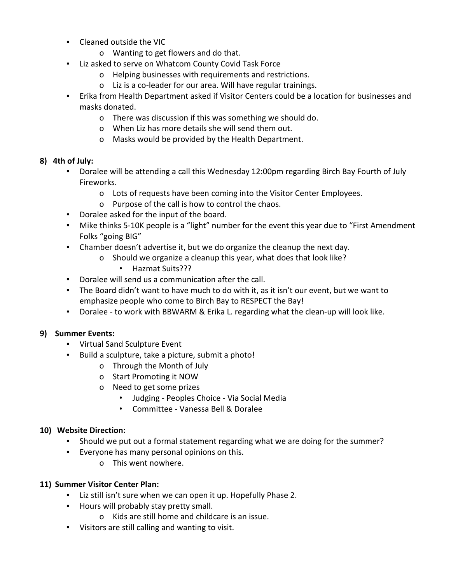- Cleaned outside the VIC
	- o Wanting to get flowers and do that.
- Liz asked to serve on Whatcom County Covid Task Force
	- o Helping businesses with requirements and restrictions.
	- o Liz is a co-leader for our area. Will have regular trainings.
- Erika from Health Department asked if Visitor Centers could be a location for businesses and masks donated.
	- o There was discussion if this was something we should do.
	- o When Liz has more details she will send them out.
	- o Masks would be provided by the Health Department.

## **8) 4th of July:**

- Doralee will be attending a call this Wednesday 12:00pm regarding Birch Bay Fourth of July Fireworks.
	- o Lots of requests have been coming into the Visitor Center Employees.
	- o Purpose of the call is how to control the chaos.
- Doralee asked for the input of the board.
- Mike thinks 5-10K people is a "light" number for the event this year due to "First Amendment Folks "going BIG"
- Chamber doesn't advertise it, but we do organize the cleanup the next day.
	- o Should we organize a cleanup this year, what does that look like?
		- Hazmat Suits???
- Doralee will send us a communication after the call.
- The Board didn't want to have much to do with it, as it isn't our event, but we want to emphasize people who come to Birch Bay to RESPECT the Bay!
- Doralee to work with BBWARM & Erika L. regarding what the clean-up will look like.

## **9) Summer Events:**

- Virtual Sand Sculpture Event
- Build a sculpture, take a picture, submit a photo!
	- o Through the Month of July
	- o Start Promoting it NOW
	- o Need to get some prizes
		- Judging Peoples Choice Via Social Media
		- Committee Vanessa Bell & Doralee

## **10) Website Direction:**

- Should we put out a formal statement regarding what we are doing for the summer?
- Everyone has many personal opinions on this.
	- o This went nowhere.

## **11) Summer Visitor Center Plan:**

- Liz still isn't sure when we can open it up. Hopefully Phase 2.
- Hours will probably stay pretty small.
	- o Kids are still home and childcare is an issue.
- Visitors are still calling and wanting to visit.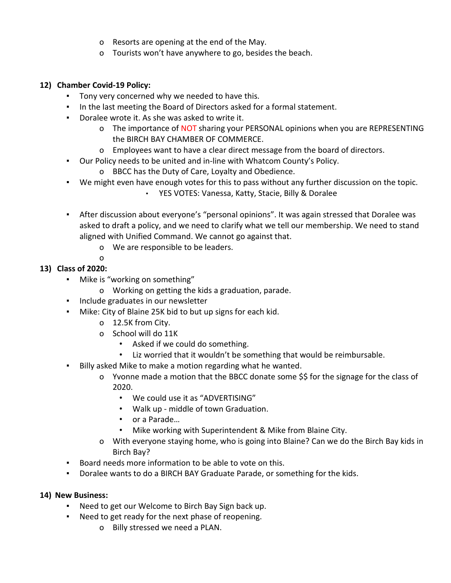- o Resorts are opening at the end of the May.
- o Tourists won't have anywhere to go, besides the beach.

#### **12) Chamber Covid-19 Policy:**

- Tony very concerned why we needed to have this.
- In the last meeting the Board of Directors asked for a formal statement.
- Doralee wrote it. As she was asked to write it.
	- o The importance of NOT sharing your PERSONAL opinions when you are REPRESENTING the BIRCH BAY CHAMBER OF COMMERCE.
	- o Employees want to have a clear direct message from the board of directors.
- Our Policy needs to be united and in-line with Whatcom County's Policy.
	- o BBCC has the Duty of Care, Loyalty and Obedience.
- We might even have enough votes for this to pass without any further discussion on the topic. • YES VOTES: Vanessa, Katty, Stacie, Billy & Doralee
- **EXECT After discussion about everyone's "personal opinions". It was again stressed that Doralee was** asked to draft a policy, and we need to clarify what we tell our membership. We need to stand aligned with Unified Command. We cannot go against that.
	- o We are responsible to be leaders.
	- o

## **13) Class of 2020:**

- Mike is "working on something"
	- o Working on getting the kids a graduation, parade.
- Include graduates in our newsletter
- Mike: City of Blaine 25K bid to but up signs for each kid.
	- o 12.5K from City.
	- o School will do 11K
		- Asked if we could do something.
		- Liz worried that it wouldn't be something that would be reimbursable.
- Billy asked Mike to make a motion regarding what he wanted.
	- o Yvonne made a motion that the BBCC donate some \$\$ for the signage for the class of 2020.
		- We could use it as "ADVERTISING"
		- Walk up middle of town Graduation.
		- or a Parade…
		- Mike working with Superintendent & Mike from Blaine City.
	- o With everyone staying home, who is going into Blaine? Can we do the Birch Bay kids in Birch Bay?
- Board needs more information to be able to vote on this.
- Doralee wants to do a BIRCH BAY Graduate Parade, or something for the kids.

#### **14) New Business:**

- Need to get our Welcome to Birch Bay Sign back up.
- Need to get ready for the next phase of reopening.
	- o Billy stressed we need a PLAN.